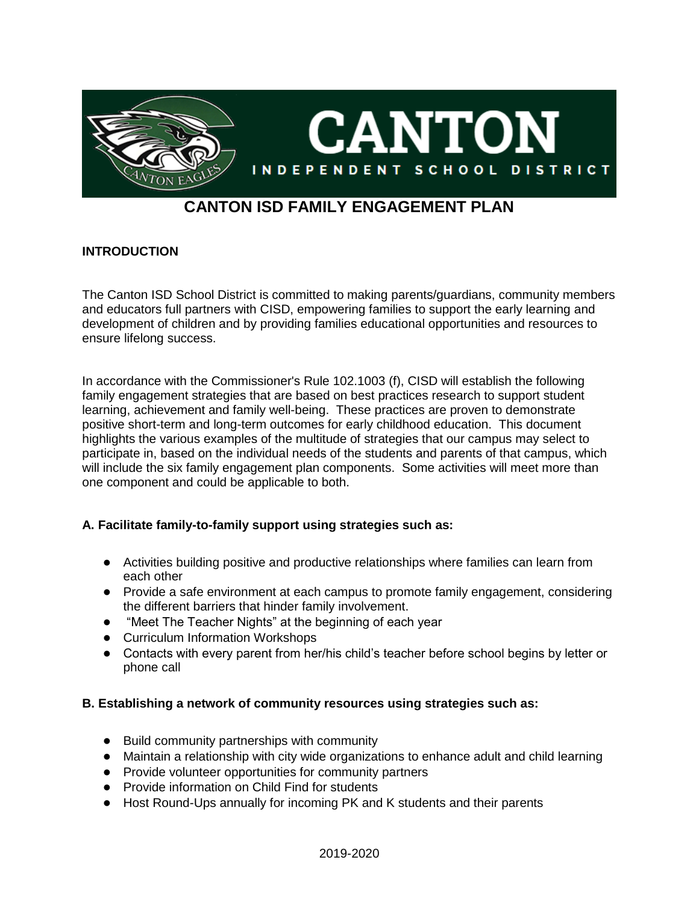

# **CANTON ISD FAMILY ENGAGEMENT PLAN**

### **INTRODUCTION**

The Canton ISD School District is committed to making parents/guardians, community members and educators full partners with CISD, empowering families to support the early learning and development of children and by providing families educational opportunities and resources to ensure lifelong success.

In accordance with the Commissioner's Rule 102.1003 (f), CISD will establish the following family engagement strategies that are based on best practices research to support student learning, achievement and family well-being. These practices are proven to demonstrate positive short-term and long-term outcomes for early childhood education. This document highlights the various examples of the multitude of strategies that our campus may select to participate in, based on the individual needs of the students and parents of that campus, which will include the six family engagement plan components. Some activities will meet more than one component and could be applicable to both.

### **A. Facilitate family-to-family support using strategies such as:**

- Activities building positive and productive relationships where families can learn from each other
- Provide a safe environment at each campus to promote family engagement, considering the different barriers that hinder family involvement.
- "Meet The Teacher Nights" at the beginning of each year
- Curriculum Information Workshops
- Contacts with every parent from her/his child's teacher before school begins by letter or phone call

### **B. Establishing a network of community resources using strategies such as:**

- Build community partnerships with community
- Maintain a relationship with city wide organizations to enhance adult and child learning
- Provide volunteer opportunities for community partners
- Provide information on Child Find for students
- Host Round-Ups annually for incoming PK and K students and their parents